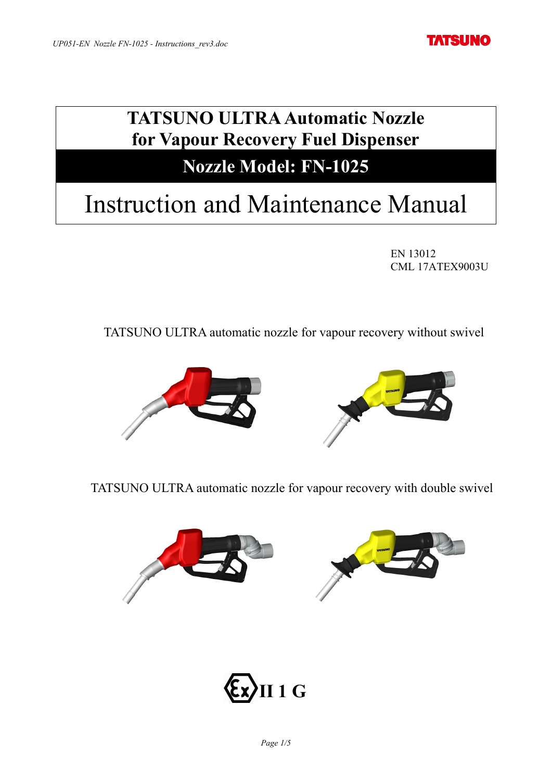**TATSUNO** 

# **TATSUNO ULTRA Automatic Nozzle for Vapour Recovery Fuel Dispenser**

## **Nozzle Model: FN-1025**

# Instruction and Maintenance Manual

EN 13012 CML 17ATEX9003U

TATSUNO ULTRA automatic nozzle for vapour recovery without swivel



TATSUNO ULTRA automatic nozzle for vapour recovery with double swivel



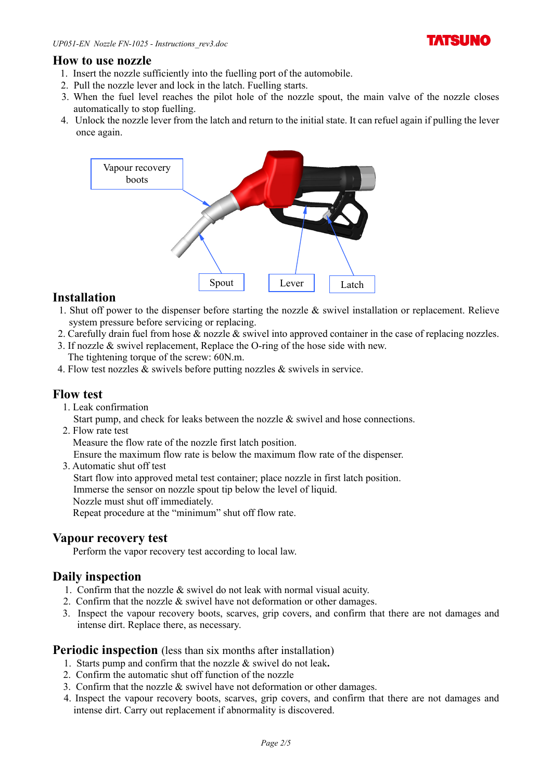

#### **How to use nozzle**

- 1. Insert the nozzle sufficiently into the fuelling port of the automobile.
- 2. Pull the nozzle lever and lock in the latch. Fuelling starts.
- 3. When the fuel level reaches the pilot hole of the nozzle spout, the main valve of the nozzle closes automatically to stop fuelling.
- 4. Unlock the nozzle lever from the latch and return to the initial state. It can refuel again if pulling the lever once again.



#### **Installation**

- 1. Shut off power to the dispenser before starting the nozzle & swivel installation or replacement. Relieve system pressure before servicing or replacing.
- 2. Carefully drain fuel from hose & nozzle & swivel into approved container in the case of replacing nozzles.
- 3. If nozzle & swivel replacement, Replace the O-ring of the hose side with new. The tightening torque of the screw: 60N.m.
- 4. Flow test nozzles & swivels before putting nozzles & swivels in service.

#### **Flow test**

1. Leak confirmation

Start pump, and check for leaks between the nozzle & swivel and hose connections.

2. Flow rate test

Measure the flow rate of the nozzle first latch position.

Ensure the maximum flow rate is below the maximum flow rate of the dispenser.

3. Automatic shut off test Start flow into approved metal test container; place nozzle in first latch position. Immerse the sensor on nozzle spout tip below the level of liquid. Nozzle must shut off immediately.

Repeat procedure at the "minimum" shut off flow rate.

#### **Vapour recovery test**

Perform the vapor recovery test according to local law.

#### **Daily inspection**

- 1. Confirm that the nozzle & swivel do not leak with normal visual acuity.
- 2. Confirm that the nozzle & swivel have not deformation or other damages.
- 3. Inspect the vapour recovery boots, scarves, grip covers, and confirm that there are not damages and intense dirt. Replace there, as necessary.

#### **Periodic inspection** (less than six months after installation)

- 1. Starts pump and confirm that the nozzle & swivel do not leak**.**
- 2. Confirm the automatic shut off function of the nozzle
- 3. Confirm that the nozzle  $&$  swivel have not deformation or other damages.
- 4. Inspect the vapour recovery boots, scarves, grip covers, and confirm that there are not damages and intense dirt. Carry out replacement if abnormality is discovered.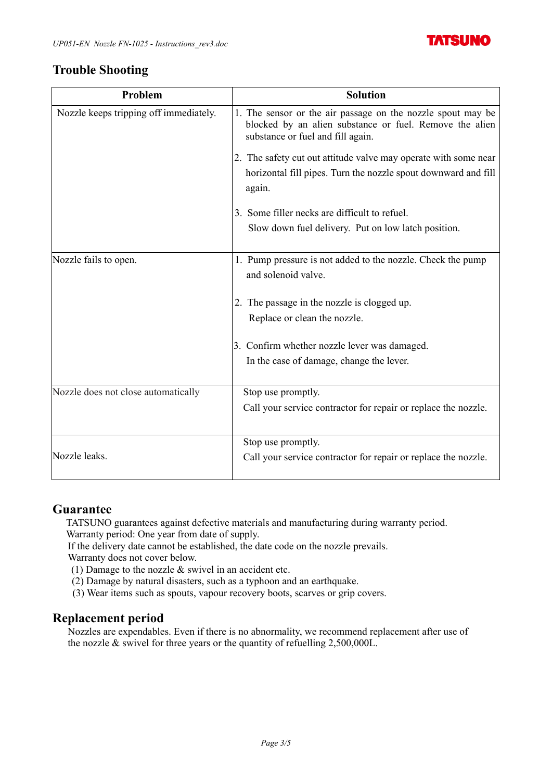

## **Trouble Shooting**

| Problem                                | <b>Solution</b>                                                                                                                                             |
|----------------------------------------|-------------------------------------------------------------------------------------------------------------------------------------------------------------|
| Nozzle keeps tripping off immediately. | 1. The sensor or the air passage on the nozzle spout may be<br>blocked by an alien substance or fuel. Remove the alien<br>substance or fuel and fill again. |
|                                        | 2. The safety cut out attitude valve may operate with some near<br>horizontal fill pipes. Turn the nozzle spout downward and fill<br>again.                 |
|                                        | 3. Some filler necks are difficult to refuel.                                                                                                               |
|                                        | Slow down fuel delivery. Put on low latch position.                                                                                                         |
| Nozzle fails to open.                  | 1. Pump pressure is not added to the nozzle. Check the pump<br>and solenoid valve.                                                                          |
|                                        | 2. The passage in the nozzle is clogged up.                                                                                                                 |
|                                        | Replace or clean the nozzle.                                                                                                                                |
|                                        | 3. Confirm whether nozzle lever was damaged.                                                                                                                |
|                                        | In the case of damage, change the lever.                                                                                                                    |
| Nozzle does not close automatically    | Stop use promptly.                                                                                                                                          |
|                                        | Call your service contractor for repair or replace the nozzle.                                                                                              |
|                                        | Stop use promptly.                                                                                                                                          |
| Nozzle leaks.                          | Call your service contractor for repair or replace the nozzle.                                                                                              |

#### **Guarantee**

TATSUNO guarantees against defective materials and manufacturing during warranty period. Warranty period: One year from date of supply.

If the delivery date cannot be established, the date code on the nozzle prevails.

Warranty does not cover below.

(1) Damage to the nozzle  $&$  swivel in an accident etc.

- (2) Damage by natural disasters, such as a typhoon and an earthquake.
- (3) Wear items such as spouts, vapour recovery boots, scarves or grip covers.

#### **Replacement period**

Nozzles are expendables. Even if there is no abnormality, we recommend replacement after use of the nozzle & swivel for three years or the quantity of refuelling 2,500,000L.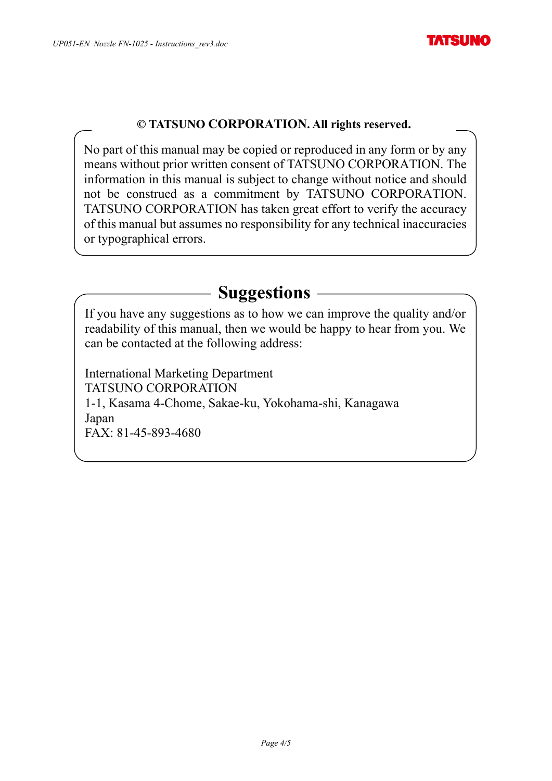### **© TATSUNO CORPORATION. All rights reserved.**

No part of this manual may be copied or reproduced in any form or by any means without prior written consent of TATSUNO CORPORATION. The information in this manual is subject to change without notice and should not be construed as a commitment by TATSUNO CORPORATION. TATSUNO CORPORATION has taken great effort to verify the accuracy of this manual but assumes no responsibility for any technical inaccuracies or typographical errors.

## **Suggestions**

If you have any suggestions as to how we can improve the quality and/or readability of this manual, then we would be happy to hear from you. We can be contacted at the following address:

International Marketing Department TATSUNO CORPORATION 1-1, Kasama 4-Chome, Sakae-ku, Yokohama-shi, Kanagawa Japan FAX: 81-45-893-4680